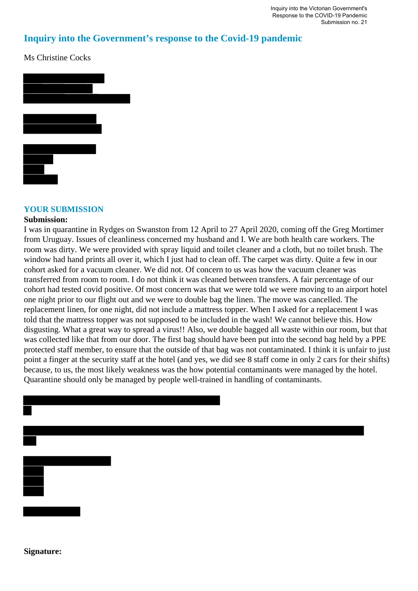## **Inquiry into the Government's response to the Covid-19 pandemic**

Ms Christine Cocks



## **YOUR SUBMISSION**

## **Submission:**

I was in quarantine in Rydges on Swanston from 12 April to 27 April 2020, coming off the Greg Mortimer from Uruguay. Issues of cleanliness concerned my husband and I. We are both health care workers. The room was dirty. We were provided with spray liquid and toilet cleaner and a cloth, but no toilet brush. The window had hand prints all over it, which I just had to clean off. The carpet was dirty. Ouite a few in our cohort asked for a vacuum cleaner. We did not. Of concern to us was how the vacuum cleaner was transferred from room to room. I do not think it was cleaned between transfers. A fair percentage of our cohort had tested covid positive. Of most concern was that we were told we were moving to an airport hotel one night prior to our flight out and we were to double bag the linen. The move was cancelled. The replacement linen, for one night, did not include a mattress topper. When I asked for a replacement I was told that the mattress topper was not supposed to be included in the wash! We cannot believe this. How disgusting. What a great way to spread a virus!! Also, we double bagged all waste within our room, but that was collected like that from our door. The first bag should have been put into the second bag held by a PPE protected staff member, to ensure that the outside of that bag was not contaminated. I think it is unfair to just point a finger at the security staff at the hotel (and yes, we did see 8 staff come in only 2 cars for their shifts) because, to us, the most likely weakness was the how potential contaminants were managed by the hotel. Quarantine should only be managed by people well-trained in handling of contaminants.



**Signature:**